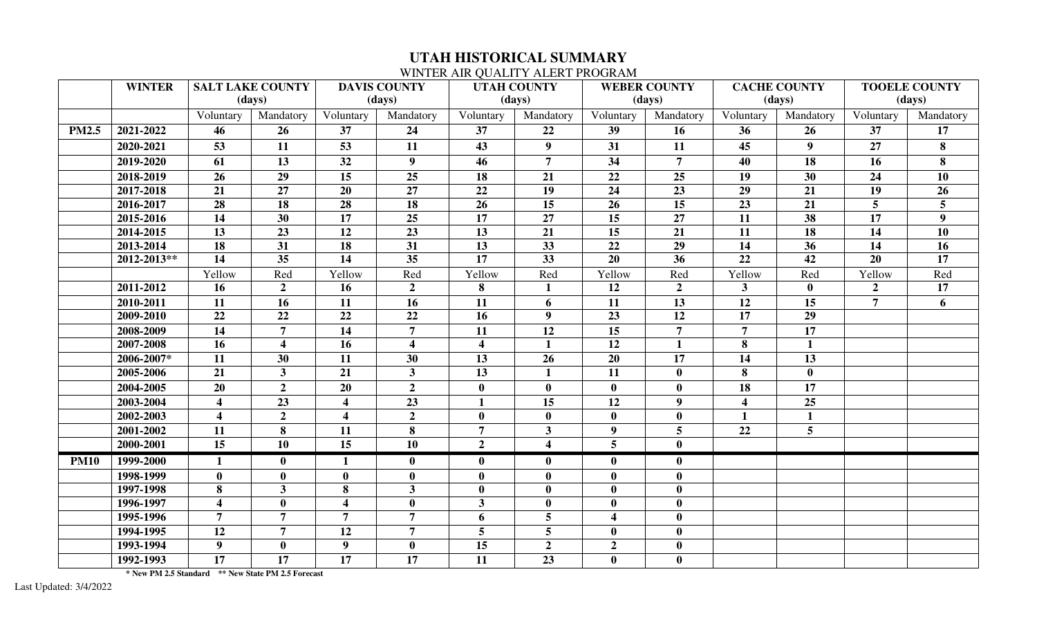## **UTAH HISTORICAL SUMMARY**

## WINTER AIR QUALITY ALERT PROGRAM

|              | <b>WINTER</b> | <b>SALT LAKE COUNTY</b> |                         | <b>DAVIS COUNTY</b>     |                         | <b>UTAH COUNTY</b>      |                         | <b>WEBER COUNTY</b>     |                  | <b>CACHE COUNTY</b>     |                | <b>TOOELE COUNTY</b> |                 |
|--------------|---------------|-------------------------|-------------------------|-------------------------|-------------------------|-------------------------|-------------------------|-------------------------|------------------|-------------------------|----------------|----------------------|-----------------|
|              |               | (days)                  |                         | (days)                  |                         | (days)                  |                         | (days)                  |                  | (days)                  |                | (days)               |                 |
|              |               | Voluntary               | Mandatory               | Voluntary               | Mandatory               | Voluntary               | Mandatory               | Voluntary               | Mandatory        | Voluntary               | Mandatory      | Voluntary            | Mandatory       |
| <b>PM2.5</b> | 2021-2022     | 46                      | 26                      | 37                      | 24                      | 37                      | 22                      | 39                      | 16               | 36                      | 26             | 37                   | 17              |
|              | 2020-2021     | 53                      | 11                      | 53                      | 11                      | 43                      | 9 <sup>1</sup>          | 31                      | 11               | 45                      | 9 <sup>1</sup> | 27                   | 8               |
|              | 2019-2020     | 61                      | 13                      | 32                      | $\boldsymbol{9}$        | 46                      | $\overline{7}$          | $\overline{34}$         | $\overline{7}$   | 40                      | 18             | 16                   | 8               |
|              | 2018-2019     | 26                      | 29                      | 15                      | 25                      | 18                      | 21                      | 22                      | 25               | 19                      | 30             | 24                   | 10              |
|              | 2017-2018     | 21                      | 27                      | 20                      | 27                      | 22                      | 19                      | 24                      | 23               | 29                      | 21             | 19                   | 26              |
|              | 2016-2017     | 28                      | 18                      | 28                      | 18                      | 26                      | 15                      | 26                      | 15               | 23                      | 21             | $\overline{5}$       | 5               |
|              | 2015-2016     | 14                      | 30                      | 17                      | 25                      | 17                      | 27                      | 15                      | 27               | 11                      | 38             | 17                   | 9               |
|              | 2014-2015     | 13                      | 23                      | 12                      | 23                      | 13                      | 21                      | 15                      | 21               | 11                      | 18             | 14                   | 10              |
|              | 2013-2014     | 18                      | 31                      | 18                      | 31                      | 13                      | 33                      | 22                      | 29               | 14                      | 36             | 14                   | 16              |
|              | 2012-2013**   | 14                      | 35                      | 14                      | 35                      | 17                      | 33                      | 20                      | 36               | 22                      | 42             | 20                   | 17              |
|              |               | Yellow                  | Red                     | Yellow                  | Red                     | Yellow                  | Red                     | Yellow                  | Red              | Yellow                  | Red            | Yellow               | Red             |
|              | 2011-2012     | 16                      | 2 <sub>1</sub>          | 16                      | $\overline{2}$          | 8                       |                         | 12                      | $\overline{2}$   | $\mathbf{3}$            | $\bf{0}$       | $\overline{2}$       | $\overline{17}$ |
|              | 2010-2011     | 11                      | 16                      | 11                      | 16                      | 11                      | 6                       | 11                      | 13               | 12                      | 15             | $\overline{7}$       | 6               |
|              | 2009-2010     | 22                      | 22                      | 22                      | 22                      | 16                      | 9 <sup>°</sup>          | 23                      | 12               | 17                      | 29             |                      |                 |
|              | 2008-2009     | 14                      | $\overline{7}$          | 14                      | $\overline{7}$          | 11                      | 12                      | 15                      | $\overline{7}$   | $\overline{7}$          | 17             |                      |                 |
|              | 2007-2008     | 16                      | $\overline{\mathbf{4}}$ | 16                      | $\overline{\mathbf{4}}$ | $\overline{\mathbf{4}}$ | $\mathbf{1}$            | 12                      | $\mathbf{1}$     | 8                       | $\mathbf{1}$   |                      |                 |
|              | 2006-2007*    | 11                      | 30                      | 11                      | 30                      | 13                      | 26                      | 20                      | 17               | 14                      | 13             |                      |                 |
|              | 2005-2006     | 21                      | 3 <sup>1</sup>          | 21                      | $\mathbf{3}$            | 13                      |                         | 11                      | $\bf{0}$         | 8                       | $\mathbf{0}$   |                      |                 |
|              | 2004-2005     | 20                      | 2 <sub>1</sub>          | $\overline{20}$         | $\overline{2}$          | $\bf{0}$                | $\mathbf{0}$            | $\mathbf{0}$            | $\bf{0}$         | $\overline{18}$         | 17             |                      |                 |
|              | 2003-2004     | $\overline{\mathbf{4}}$ | 23                      | $\overline{\mathbf{4}}$ | 23                      | $\mathbf{1}$            | 15                      | 12                      | 9                | $\overline{\mathbf{4}}$ | 25             |                      |                 |
|              | 2002-2003     | $\overline{\mathbf{4}}$ | $\overline{2}$          | $\overline{\mathbf{4}}$ | $\overline{2}$          | $\bf{0}$                | $\mathbf{0}$            | $\mathbf{0}$            | $\bf{0}$         | $\mathbf{1}$            | $\mathbf{1}$   |                      |                 |
|              | 2001-2002     | 11                      | 8                       | 11                      | 8                       | $\overline{7}$          | $\overline{3}$          | 9 <sup>°</sup>          | $5\overline{)}$  | 22                      | 5 <sup>5</sup> |                      |                 |
|              | 2000-2001     | 15                      | 10                      | 15                      | 10                      | $\overline{2}$          | $\overline{\mathbf{4}}$ | 5 <sup>5</sup>          | $\bf{0}$         |                         |                |                      |                 |
| <b>PM10</b>  | 1999-2000     | $\mathbf{1}$            | $\mathbf{0}$            | $\mathbf{1}$            | $\mathbf{0}$            | $\bf{0}$                | $\mathbf{0}$            | $\mathbf{0}$            | $\bf{0}$         |                         |                |                      |                 |
|              | 1998-1999     | $\mathbf{0}$            | $\mathbf{0}$            | $\bf{0}$                | $\mathbf{0}$            | $\bf{0}$                | $\mathbf{0}$            | $\mathbf{0}$            | $\bf{0}$         |                         |                |                      |                 |
|              | 1997-1998     | 8                       | $\mathbf{3}$            | 8                       | $\mathbf{3}$            | $\bf{0}$                | $\bf{0}$                | $\mathbf{0}$            | $\bf{0}$         |                         |                |                      |                 |
|              | 1996-1997     | $\overline{\mathbf{4}}$ | $\bf{0}$                | $\overline{\mathbf{4}}$ | $\bf{0}$                | 3 <sup>1</sup>          | $\mathbf{0}$            | $\mathbf{0}$            | $\bf{0}$         |                         |                |                      |                 |
|              | 1995-1996     | $\overline{7}$          | $\overline{7}$          | $\overline{7}$          | $\overline{7}$          | 6                       | 5                       | $\overline{\mathbf{4}}$ | $\bf{0}$         |                         |                |                      |                 |
|              | 1994-1995     | 12                      | $\overline{7}$          | 12                      | $\overline{7}$          | $5\overline{)}$         | 5                       | $\bf{0}$                | $\bf{0}$         |                         |                |                      |                 |
|              | 1993-1994     | 9 <sup>1</sup>          | $\bf{0}$                | 9                       | $\bf{0}$                | 15                      | $\overline{2}$          | $\overline{2}$          | $\boldsymbol{0}$ |                         |                |                      |                 |
|              | 1992-1993     | 17                      | 17                      | 17                      | 17                      | 11                      | 23                      | $\mathbf{0}$            | $\bf{0}$         |                         |                |                      |                 |

 **\* New PM 2.5 Standard \*\* New State PM 2.5 Forecast**